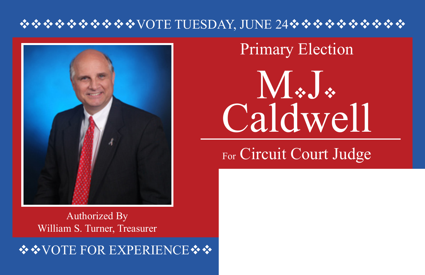## $\rightsquigarrow$   $\rightsquigarrow$   $\rightsquigarrow$   $\rightsquigarrow$   $\rightsquigarrow$   $\rightsquigarrow$   $\rightsquigarrow$   $\rightsquigarrow$   $\rightsquigarrow$   $\rightsquigarrow$   $\rightsquigarrow$   $\rightsquigarrow$   $\rightsquigarrow$   $\rightsquigarrow$   $\rightsquigarrow$   $\rightsquigarrow$   $\rightsquigarrow$   $\rightsquigarrow$   $\rightsquigarrow$   $\rightsquigarrow$   $\rightsquigarrow$   $\rightsquigarrow$   $\rightsquigarrow$   $\rightsquigarrow$   $\rightsquigarrow$   $\rightsquigarrow$   $\rightsquigarrow$   $\rightsquig$



Authorized By William S. Turner, Treasurer

❖❖VOTE FOR EXPERIENCE❖❖

# $\mathbf{N}$   $\ddot{\mathbf{v}}$ Caldwell Primary Election

## For Circuit Court Judge